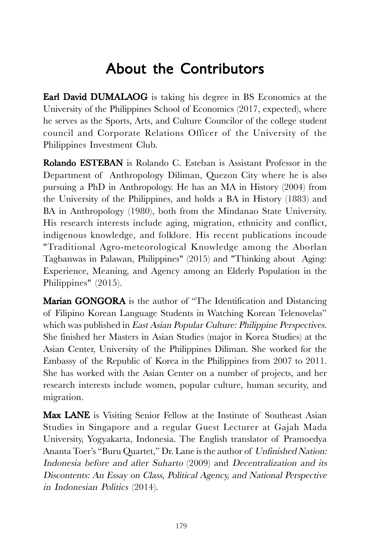## About the Contributors

Earl David DUMALAOG is taking his degree in BS Economics at the University of the Philippines School of Economics (2017, expected), where he serves as the Sports, Arts, and Culture Councilor of the college student council and Corporate Relations Officer of the University of the Philippines Investment Club.

Rolando ESTEBAN is Rolando C. Esteban is Assistant Professor in the Department of Anthropology Diliman, Quezon City where he is also pursuing a PhD in Anthropology. He has an MA in History (2004) from the University of the Philippines, and holds a BA in History (1883) and BA in Anthropology (1980), both from the Mindanao State University. His research interests include aging, migration, ethnicity and conflict, indigenous knowledge, and folklore. His recent publications incoude "Traditional Agro-meteorological Knowledge among the Aborlan Tagbanwas in Palawan, Philippines" (2015) and "Thinking about Aging: Experience, Meaning, and Agency among an Elderly Population in the Philippines" (2015).

Marian GONGORA is the author of "The Identification and Distancing of Filipino Korean Language Students in Watching Korean Telenovelas" which was published in *East Asian Popular Culture: Philippine Perspectives.* She finished her Masters in Asian Studies (major in Korea Studies) at the Asian Center, University of the Philippines Diliman. She worked for the Embassy of the Republic of Korea in the Philippines from 2007 to 2011. She has worked with the Asian Center on a number of projects, and her research interests include women, popular culture, human security, and migration.

Max LANE is Visiting Senior Fellow at the Institute of Southeast Asian Studies in Singapore and a regular Guest Lecturer at Gajah Mada University, Yogyakarta, Indonesia. The English translator of Pramoedya Ananta Toer's "Buru Quartet," Dr. Lane is the author of Unfinished Nation: Indonesia before and after Suharto (2009) and Decentralization and its Discontents: An Essay on Class, Political Agency, and National Perspective in Indonesian Politics (2014).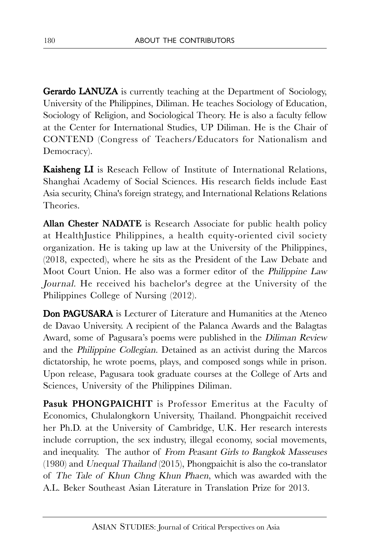**Gerardo LANUZA** is currently teaching at the Department of Sociology, University of the Philippines, Diliman. He teaches Sociology of Education, Sociology of Religion, and Sociological Theory. He is also a faculty fellow at the Center for International Studies, UP Diliman. He is the Chair of CONTEND (Congress of Teachers/Educators for Nationalism and Democracy).

Kaisheng LI is Reseach Fellow of Institute of International Relations, Shanghai Academy of Social Sciences. His research fields include East Asia security, China's foreign strategy, and International Relations Relations Theories.

Allan Chester NADATE is Research Associate for public health policy at HealthJustice Philippines, a health equity-oriented civil society organization. He is taking up law at the University of the Philippines, (2018, expected), where he sits as the President of the Law Debate and Moot Court Union. He also was a former editor of the Philippine Law Journal. He received his bachelor's degree at the University of the Philippines College of Nursing (2012).

Don PAGUSARA is Lecturer of Literature and Humanities at the Ateneo de Davao University. A recipient of the Palanca Awards and the Balagtas Award, some of Pagusara's poems were published in the Diliman Review and the Philippine Collegian. Detained as an activist during the Marcos dictatorship, he wrote poems, plays, and composed songs while in prison. Upon release, Pagusara took graduate courses at the College of Arts and Sciences, University of the Philippines Diliman.

Pasuk PHONGPAICHIT is Professor Emeritus at the Faculty of Economics, Chulalongkorn University, Thailand. Phongpaichit received her Ph.D. at the University of Cambridge, U.K. Her research interests include corruption, the sex industry, illegal economy, social movements, and inequality. The author of From Peasant Girls to Bangkok Masseuses (1980) and Unequal Thailand (2015), Phongpaichit is also the co-translator of The Tale of Khun Chng Khun Phaen, which was awarded with the A.L. Beker Southeast Asian Literature in Translation Prize for 2013.